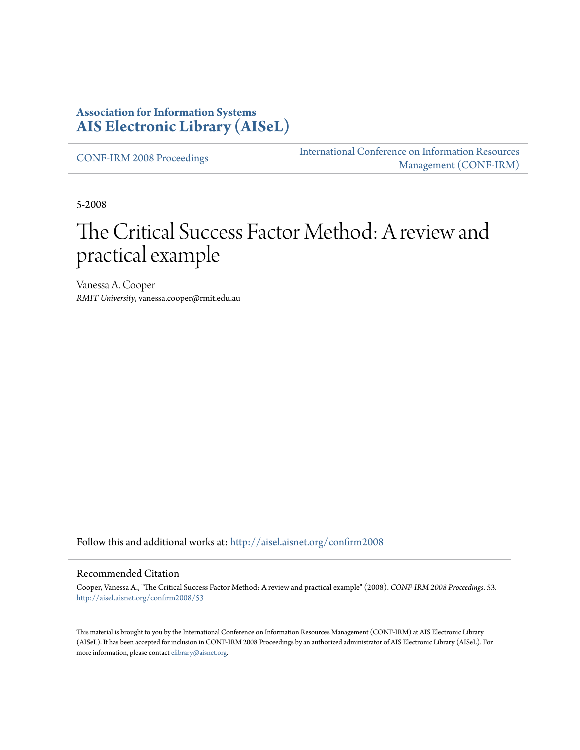## **Association for Information Systems [AIS Electronic Library \(AISeL\)](http://aisel.aisnet.org?utm_source=aisel.aisnet.org%2Fconfirm2008%2F53&utm_medium=PDF&utm_campaign=PDFCoverPages)**

[CONF-IRM 2008 Proceedings](http://aisel.aisnet.org/confirm2008?utm_source=aisel.aisnet.org%2Fconfirm2008%2F53&utm_medium=PDF&utm_campaign=PDFCoverPages)

[International Conference on Information Resources](http://aisel.aisnet.org/conf-irm?utm_source=aisel.aisnet.org%2Fconfirm2008%2F53&utm_medium=PDF&utm_campaign=PDFCoverPages) [Management \(CONF-IRM\)](http://aisel.aisnet.org/conf-irm?utm_source=aisel.aisnet.org%2Fconfirm2008%2F53&utm_medium=PDF&utm_campaign=PDFCoverPages)

5-2008

# The Critical Success Factor Method: A review and practical example

Vanessa A. Cooper *RMIT University*, vanessa.cooper@rmit.edu.au

Follow this and additional works at: [http://aisel.aisnet.org/confirm2008](http://aisel.aisnet.org/confirm2008?utm_source=aisel.aisnet.org%2Fconfirm2008%2F53&utm_medium=PDF&utm_campaign=PDFCoverPages)

#### Recommended Citation

Cooper, Vanessa A., "The Critical Success Factor Method: A review and practical example" (2008). *CONF-IRM 2008 Proceedings*. 53. [http://aisel.aisnet.org/confirm2008/53](http://aisel.aisnet.org/confirm2008/53?utm_source=aisel.aisnet.org%2Fconfirm2008%2F53&utm_medium=PDF&utm_campaign=PDFCoverPages)

This material is brought to you by the International Conference on Information Resources Management (CONF-IRM) at AIS Electronic Library (AISeL). It has been accepted for inclusion in CONF-IRM 2008 Proceedings by an authorized administrator of AIS Electronic Library (AISeL). For more information, please contact [elibrary@aisnet.org.](mailto:elibrary@aisnet.org%3E)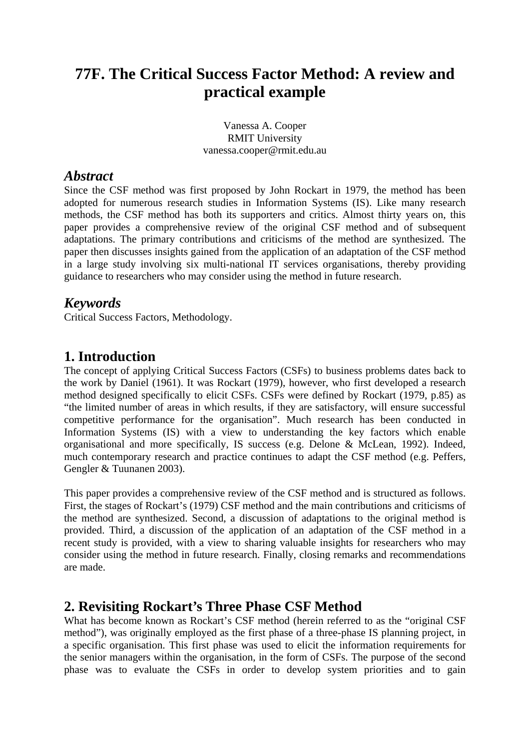## **77F. The Critical Success Factor Method: A review and practical example**

Vanessa A. Cooper RMIT University vanessa.cooper@rmit.edu.au

## *Abstract*

Since the CSF method was first proposed by John Rockart in 1979, the method has been adopted for numerous research studies in Information Systems (IS). Like many research methods, the CSF method has both its supporters and critics. Almost thirty years on, this paper provides a comprehensive review of the original CSF method and of subsequent adaptations. The primary contributions and criticisms of the method are synthesized. The paper then discusses insights gained from the application of an adaptation of the CSF method in a large study involving six multi-national IT services organisations, thereby providing guidance to researchers who may consider using the method in future research.

## *Keywords*

Critical Success Factors, Methodology.

## **1. Introduction**

The concept of applying Critical Success Factors (CSFs) to business problems dates back to the work by Daniel (1961). It was Rockart (1979), however, who first developed a research method designed specifically to elicit CSFs. CSFs were defined by Rockart (1979, p.85) as "the limited number of areas in which results, if they are satisfactory, will ensure successful competitive performance for the organisation". Much research has been conducted in Information Systems (IS) with a view to understanding the key factors which enable organisational and more specifically, IS success (e.g. Delone & McLean, 1992). Indeed, much contemporary research and practice continues to adapt the CSF method (e.g. Peffers, Gengler & Tuunanen 2003).

This paper provides a comprehensive review of the CSF method and is structured as follows. First, the stages of Rockart's (1979) CSF method and the main contributions and criticisms of the method are synthesized. Second, a discussion of adaptations to the original method is provided. Third, a discussion of the application of an adaptation of the CSF method in a recent study is provided, with a view to sharing valuable insights for researchers who may consider using the method in future research. Finally, closing remarks and recommendations are made.

## **2. Revisiting Rockart's Three Phase CSF Method**

What has become known as Rockart's CSF method (herein referred to as the "original CSF method"), was originally employed as the first phase of a three-phase IS planning project, in a specific organisation. This first phase was used to elicit the information requirements for the senior managers within the organisation, in the form of CSFs. The purpose of the second phase was to evaluate the CSFs in order to develop system priorities and to gain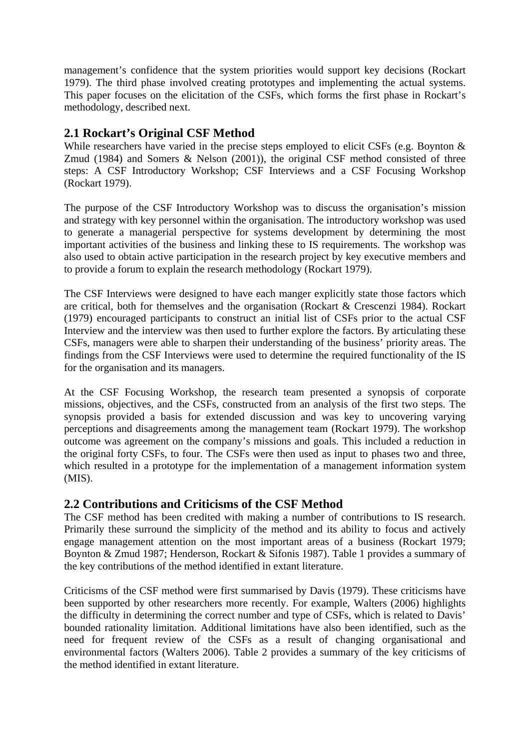management's confidence that the system priorities would support key decisions (Rockart 1979). The third phase involved creating prototypes and implementing the actual systems. This paper focuses on the elicitation of the CSFs, which forms the first phase in Rockart's methodology, described next.

## **2.1 Rockart's Original CSF Method**

While researchers have varied in the precise steps employed to elicit CSFs (e.g. Boynton & Zmud (1984) and Somers & Nelson (2001)), the original CSF method consisted of three steps: A CSF Introductory Workshop; CSF Interviews and a CSF Focusing Workshop (Rockart 1979).

The purpose of the CSF Introductory Workshop was to discuss the organisation's mission and strategy with key personnel within the organisation. The introductory workshop was used to generate a managerial perspective for systems development by determining the most important activities of the business and linking these to IS requirements. The workshop was also used to obtain active participation in the research project by key executive members and to provide a forum to explain the research methodology (Rockart 1979).

The CSF Interviews were designed to have each manger explicitly state those factors which are critical, both for themselves and the organisation (Rockart & Crescenzi 1984). Rockart (1979) encouraged participants to construct an initial list of CSFs prior to the actual CSF Interview and the interview was then used to further explore the factors. By articulating these CSFs, managers were able to sharpen their understanding of the business' priority areas. The findings from the CSF Interviews were used to determine the required functionality of the IS for the organisation and its managers.

At the CSF Focusing Workshop, the research team presented a synopsis of corporate missions, objectives, and the CSFs, constructed from an analysis of the first two steps. The synopsis provided a basis for extended discussion and was key to uncovering varying perceptions and disagreements among the management team (Rockart 1979). The workshop outcome was agreement on the company's missions and goals. This included a reduction in the original forty CSFs, to four. The CSFs were then used as input to phases two and three, which resulted in a prototype for the implementation of a management information system (MIS).

## **2.2 Contributions and Criticisms of the CSF Method**

The CSF method has been credited with making a number of contributions to IS research. Primarily these surround the simplicity of the method and its ability to focus and actively engage management attention on the most important areas of a business (Rockart 1979; Boynton & Zmud 1987; Henderson, Rockart & Sifonis 1987). Table 1 provides a summary of the key contributions of the method identified in extant literature.

Criticisms of the CSF method were first summarised by Davis (1979). These criticisms have been supported by other researchers more recently. For example, Walters (2006) highlights the difficulty in determining the correct number and type of CSFs, which is related to Davis' bounded rationality limitation. Additional limitations have also been identified, such as the need for frequent review of the CSFs as a result of changing organisational and environmental factors (Walters 2006). Table 2 provides a summary of the key criticisms of the method identified in extant literature.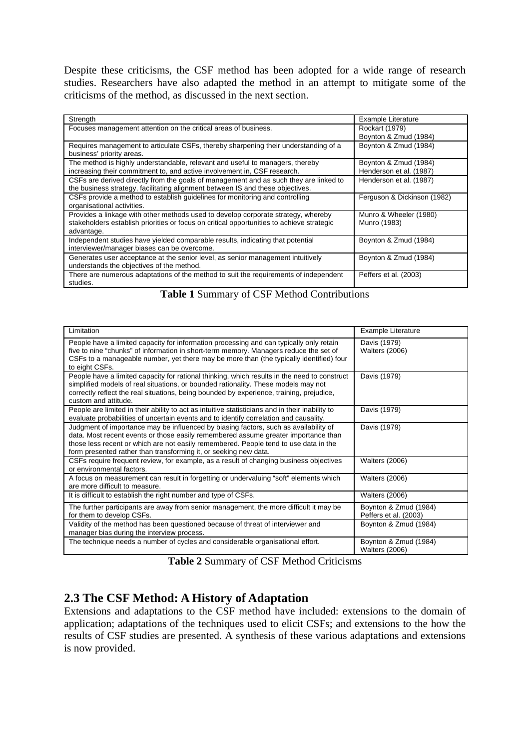Despite these criticisms, the CSF method has been adopted for a wide range of research studies. Researchers have also adapted the method in an attempt to mitigate some of the criticisms of the method, as discussed in the next section.

| Strength                                                                                  | Example Literature          |
|-------------------------------------------------------------------------------------------|-----------------------------|
| Focuses management attention on the critical areas of business.                           | Rockart (1979)              |
|                                                                                           | Boynton & Zmud (1984)       |
| Requires management to articulate CSFs, thereby sharpening their understanding of a       | Boynton & Zmud (1984)       |
| business' priority areas.                                                                 |                             |
| The method is highly understandable, relevant and useful to managers, thereby             | Boynton & Zmud (1984)       |
| increasing their commitment to, and active involvement in, CSF research.                  | Henderson et al. (1987)     |
| CSFs are derived directly from the goals of management and as such they are linked to     | Henderson et al. (1987)     |
| the business strategy, facilitating alignment between IS and these objectives.            |                             |
| CSFs provide a method to establish quidelines for monitoring and controlling              | Ferguson & Dickinson (1982) |
| organisational activities.                                                                |                             |
| Provides a linkage with other methods used to develop corporate strategy, whereby         | Munro & Wheeler (1980)      |
| stakeholders establish priorities or focus on critical opportunities to achieve strategic | Munro (1983)                |
| advantage.                                                                                |                             |
| Independent studies have yielded comparable results, indicating that potential            | Boynton & Zmud (1984)       |
| interviewer/manager biases can be overcome.                                               |                             |
| Generates user acceptance at the senior level, as senior management intuitively           | Boynton & Zmud (1984)       |
| understands the objectives of the method.                                                 |                             |
| There are numerous adaptations of the method to suit the requirements of independent      | Peffers et al. (2003)       |
| studies.                                                                                  |                             |

**Table 1** Summary of CSF Method Contributions

| Limitation                                                                                                                                                                                                                                                                                                                             | <b>Example Literature</b>                      |
|----------------------------------------------------------------------------------------------------------------------------------------------------------------------------------------------------------------------------------------------------------------------------------------------------------------------------------------|------------------------------------------------|
| People have a limited capacity for information processing and can typically only retain<br>five to nine "chunks" of information in short-term memory. Managers reduce the set of<br>CSFs to a manageable number, yet there may be more than (the typically identified) four<br>to eight CSFs.                                          | Davis (1979)<br><b>Walters (2006)</b>          |
| People have a limited capacity for rational thinking, which results in the need to construct<br>simplified models of real situations, or bounded rationality. These models may not<br>correctly reflect the real situations, being bounded by experience, training, prejudice,<br>custom and attitude.                                 | Davis (1979)                                   |
| People are limited in their ability to act as intuitive statisticians and in their inability to<br>evaluate probabilities of uncertain events and to identify correlation and causality.                                                                                                                                               | Davis (1979)                                   |
| Judgment of importance may be influenced by biasing factors, such as availability of<br>data. Most recent events or those easily remembered assume greater importance than<br>those less recent or which are not easily remembered. People tend to use data in the<br>form presented rather than transforming it, or seeking new data. | Davis (1979)                                   |
| CSFs require frequent review, for example, as a result of changing business objectives<br>or environmental factors.                                                                                                                                                                                                                    | <b>Walters (2006)</b>                          |
| A focus on measurement can result in forgetting or undervaluing "soft" elements which<br>are more difficult to measure.                                                                                                                                                                                                                | <b>Walters (2006)</b>                          |
| It is difficult to establish the right number and type of CSFs.                                                                                                                                                                                                                                                                        | <b>Walters (2006)</b>                          |
| The further participants are away from senior management, the more difficult it may be<br>for them to develop CSFs.                                                                                                                                                                                                                    | Boynton & Zmud (1984)<br>Peffers et al. (2003) |
| Validity of the method has been questioned because of threat of interviewer and<br>manager bias during the interview process.                                                                                                                                                                                                          | Boynton & Zmud (1984)                          |
| The technique needs a number of cycles and considerable organisational effort.                                                                                                                                                                                                                                                         | Boynton & Zmud (1984)<br><b>Walters (2006)</b> |

**Table 2** Summary of CSF Method Criticisms

## **2.3 The CSF Method: A History of Adaptation**

Extensions and adaptations to the CSF method have included: extensions to the domain of application; adaptations of the techniques used to elicit CSFs; and extensions to the how the results of CSF studies are presented. A synthesis of these various adaptations and extensions is now provided.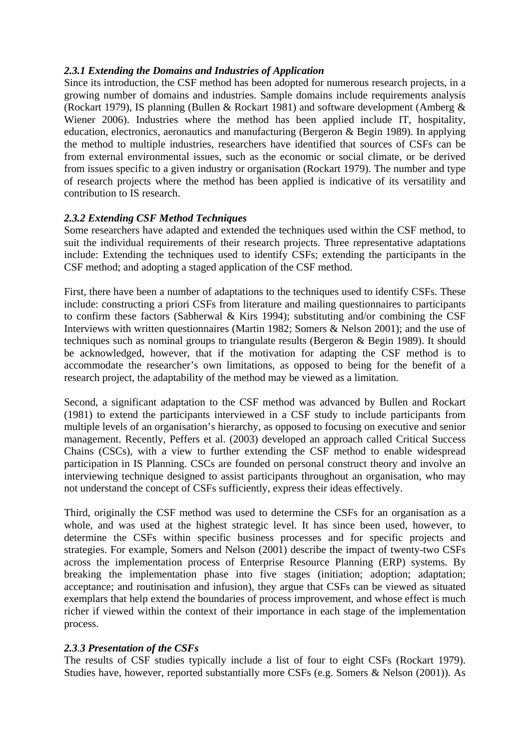#### *2.3.1 Extending the Domains and Industries of Application*

Since its introduction, the CSF method has been adopted for numerous research projects, in a growing number of domains and industries. Sample domains include requirements analysis (Rockart 1979), IS planning (Bullen & Rockart 1981) and software development (Amberg & Wiener 2006). Industries where the method has been applied include IT, hospitality, education, electronics, aeronautics and manufacturing (Bergeron & Begin 1989). In applying the method to multiple industries, researchers have identified that sources of CSFs can be from external environmental issues, such as the economic or social climate, or be derived from issues specific to a given industry or organisation (Rockart 1979). The number and type of research projects where the method has been applied is indicative of its versatility and contribution to IS research.

#### *2.3.2 Extending CSF Method Techniques*

Some researchers have adapted and extended the techniques used within the CSF method, to suit the individual requirements of their research projects. Three representative adaptations include: Extending the techniques used to identify CSFs; extending the participants in the CSF method; and adopting a staged application of the CSF method.

First, there have been a number of adaptations to the techniques used to identify CSFs. These include: constructing a priori CSFs from literature and mailing questionnaires to participants to confirm these factors (Sabherwal & Kirs 1994); substituting and/or combining the CSF Interviews with written questionnaires (Martin 1982; Somers & Nelson 2001); and the use of techniques such as nominal groups to triangulate results (Bergeron & Begin 1989). It should be acknowledged, however, that if the motivation for adapting the CSF method is to accommodate the researcher's own limitations, as opposed to being for the benefit of a research project, the adaptability of the method may be viewed as a limitation.

Second, a significant adaptation to the CSF method was advanced by Bullen and Rockart (1981) to extend the participants interviewed in a CSF study to include participants from multiple levels of an organisation's hierarchy, as opposed to focusing on executive and senior management. Recently, Peffers et al. (2003) developed an approach called Critical Success Chains (CSCs), with a view to further extending the CSF method to enable widespread participation in IS Planning. CSCs are founded on personal construct theory and involve an interviewing technique designed to assist participants throughout an organisation, who may not understand the concept of CSFs sufficiently, express their ideas effectively.

Third, originally the CSF method was used to determine the CSFs for an organisation as a whole, and was used at the highest strategic level. It has since been used, however, to determine the CSFs within specific business processes and for specific projects and strategies. For example, Somers and Nelson (2001) describe the impact of twenty-two CSFs across the implementation process of Enterprise Resource Planning (ERP) systems. By breaking the implementation phase into five stages (initiation; adoption; adaptation; acceptance; and routinisation and infusion), they argue that CSFs can be viewed as situated exemplars that help extend the boundaries of process improvement, and whose effect is much richer if viewed within the context of their importance in each stage of the implementation process.

#### *2.3.3 Presentation of the CSFs*

The results of CSF studies typically include a list of four to eight CSFs (Rockart 1979). Studies have, however, reported substantially more CSFs (e.g. Somers & Nelson (2001)). As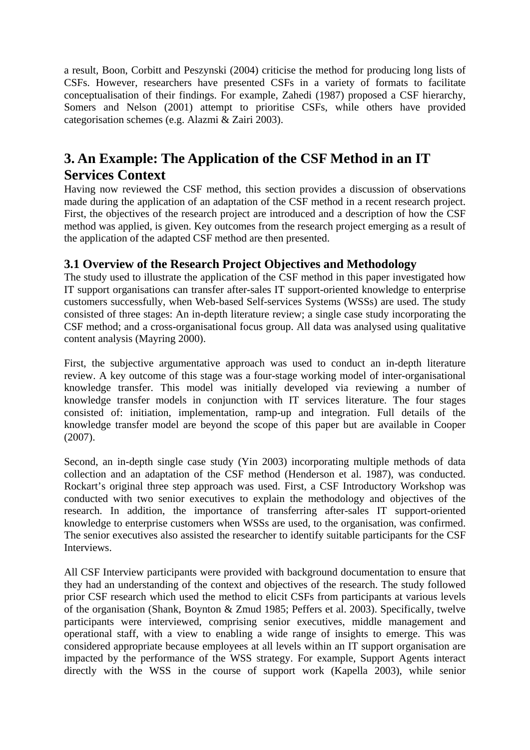a result, Boon, Corbitt and Peszynski (2004) criticise the method for producing long lists of CSFs. However, researchers have presented CSFs in a variety of formats to facilitate conceptualisation of their findings. For example, Zahedi (1987) proposed a CSF hierarchy, Somers and Nelson (2001) attempt to prioritise CSFs, while others have provided categorisation schemes (e.g. Alazmi & Zairi 2003).

## **3. An Example: The Application of the CSF Method in an IT Services Context**

Having now reviewed the CSF method, this section provides a discussion of observations made during the application of an adaptation of the CSF method in a recent research project. First, the objectives of the research project are introduced and a description of how the CSF method was applied, is given. Key outcomes from the research project emerging as a result of the application of the adapted CSF method are then presented.

## **3.1 Overview of the Research Project Objectives and Methodology**

The study used to illustrate the application of the CSF method in this paper investigated how IT support organisations can transfer after-sales IT support-oriented knowledge to enterprise customers successfully, when Web-based Self-services Systems (WSSs) are used. The study consisted of three stages: An in-depth literature review; a single case study incorporating the CSF method; and a cross-organisational focus group. All data was analysed using qualitative content analysis (Mayring 2000).

First, the subjective argumentative approach was used to conduct an in-depth literature review. A key outcome of this stage was a four-stage working model of inter-organisational knowledge transfer. This model was initially developed via reviewing a number of knowledge transfer models in conjunction with IT services literature. The four stages consisted of: initiation, implementation, ramp-up and integration. Full details of the knowledge transfer model are beyond the scope of this paper but are available in Cooper (2007).

Second, an in-depth single case study (Yin 2003) incorporating multiple methods of data collection and an adaptation of the CSF method (Henderson et al. 1987), was conducted. Rockart's original three step approach was used. First, a CSF Introductory Workshop was conducted with two senior executives to explain the methodology and objectives of the research. In addition, the importance of transferring after-sales IT support-oriented knowledge to enterprise customers when WSSs are used, to the organisation, was confirmed. The senior executives also assisted the researcher to identify suitable participants for the CSF Interviews.

All CSF Interview participants were provided with background documentation to ensure that they had an understanding of the context and objectives of the research. The study followed prior CSF research which used the method to elicit CSFs from participants at various levels of the organisation (Shank, Boynton & Zmud 1985; Peffers et al. 2003). Specifically, twelve participants were interviewed, comprising senior executives, middle management and operational staff, with a view to enabling a wide range of insights to emerge. This was considered appropriate because employees at all levels within an IT support organisation are impacted by the performance of the WSS strategy. For example, Support Agents interact directly with the WSS in the course of support work (Kapella 2003), while senior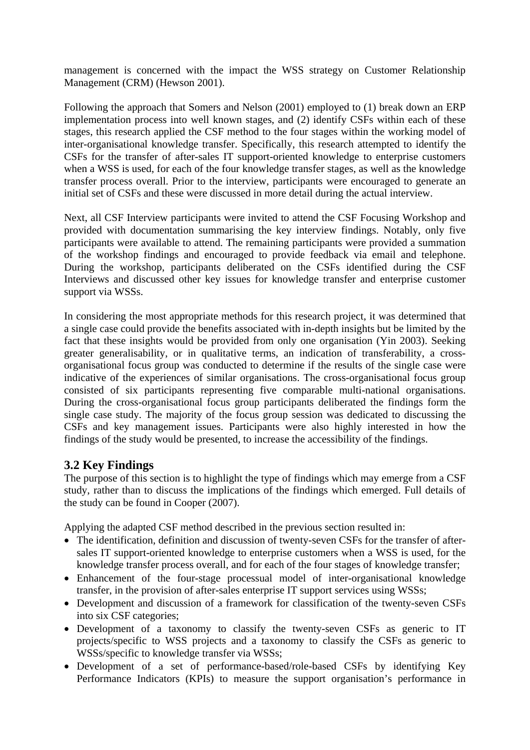management is concerned with the impact the WSS strategy on Customer Relationship Management (CRM) (Hewson 2001).

Following the approach that Somers and Nelson (2001) employed to (1) break down an ERP implementation process into well known stages, and (2) identify CSFs within each of these stages, this research applied the CSF method to the four stages within the working model of inter-organisational knowledge transfer. Specifically, this research attempted to identify the CSFs for the transfer of after-sales IT support-oriented knowledge to enterprise customers when a WSS is used, for each of the four knowledge transfer stages, as well as the knowledge transfer process overall. Prior to the interview, participants were encouraged to generate an initial set of CSFs and these were discussed in more detail during the actual interview.

Next, all CSF Interview participants were invited to attend the CSF Focusing Workshop and provided with documentation summarising the key interview findings. Notably, only five participants were available to attend. The remaining participants were provided a summation of the workshop findings and encouraged to provide feedback via email and telephone. During the workshop, participants deliberated on the CSFs identified during the CSF Interviews and discussed other key issues for knowledge transfer and enterprise customer support via WSSs.

In considering the most appropriate methods for this research project, it was determined that a single case could provide the benefits associated with in-depth insights but be limited by the fact that these insights would be provided from only one organisation (Yin 2003). Seeking greater generalisability, or in qualitative terms, an indication of transferability, a crossorganisational focus group was conducted to determine if the results of the single case were indicative of the experiences of similar organisations. The cross-organisational focus group consisted of six participants representing five comparable multi-national organisations. During the cross-organisational focus group participants deliberated the findings form the single case study. The majority of the focus group session was dedicated to discussing the CSFs and key management issues. Participants were also highly interested in how the findings of the study would be presented, to increase the accessibility of the findings.

## **3.2 Key Findings**

The purpose of this section is to highlight the type of findings which may emerge from a CSF study, rather than to discuss the implications of the findings which emerged. Full details of the study can be found in Cooper (2007).

Applying the adapted CSF method described in the previous section resulted in:

- The identification, definition and discussion of twenty-seven CSFs for the transfer of aftersales IT support-oriented knowledge to enterprise customers when a WSS is used, for the knowledge transfer process overall, and for each of the four stages of knowledge transfer;
- Enhancement of the four-stage processual model of inter-organisational knowledge transfer, in the provision of after-sales enterprise IT support services using WSSs;
- Development and discussion of a framework for classification of the twenty-seven CSFs into six CSF categories;
- Development of a taxonomy to classify the twenty-seven CSFs as generic to IT projects/specific to WSS projects and a taxonomy to classify the CSFs as generic to WSSs/specific to knowledge transfer via WSSs;
- Development of a set of performance-based/role-based CSFs by identifying Key Performance Indicators (KPIs) to measure the support organisation's performance in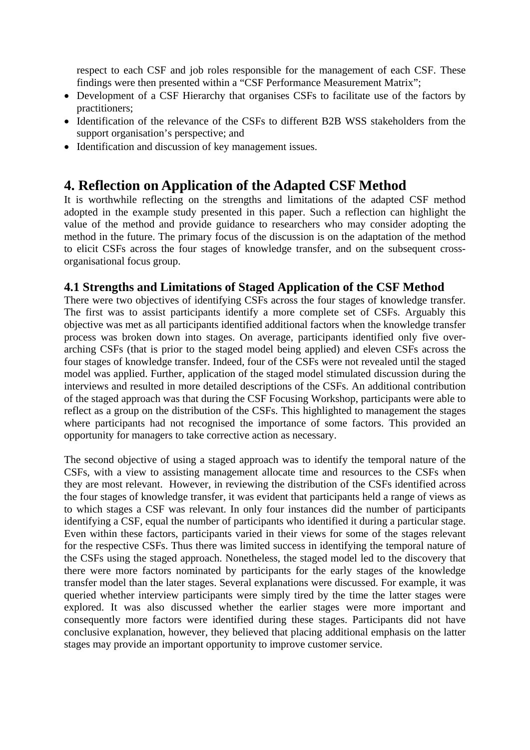respect to each CSF and job roles responsible for the management of each CSF. These findings were then presented within a "CSF Performance Measurement Matrix";

- Development of a CSF Hierarchy that organises CSFs to facilitate use of the factors by practitioners;
- Identification of the relevance of the CSFs to different B2B WSS stakeholders from the support organisation's perspective; and
- Identification and discussion of key management issues.

## **4. Reflection on Application of the Adapted CSF Method**

It is worthwhile reflecting on the strengths and limitations of the adapted CSF method adopted in the example study presented in this paper. Such a reflection can highlight the value of the method and provide guidance to researchers who may consider adopting the method in the future. The primary focus of the discussion is on the adaptation of the method to elicit CSFs across the four stages of knowledge transfer, and on the subsequent crossorganisational focus group.

## **4.1 Strengths and Limitations of Staged Application of the CSF Method**

There were two objectives of identifying CSFs across the four stages of knowledge transfer. The first was to assist participants identify a more complete set of CSFs. Arguably this objective was met as all participants identified additional factors when the knowledge transfer process was broken down into stages. On average, participants identified only five overarching CSFs (that is prior to the staged model being applied) and eleven CSFs across the four stages of knowledge transfer. Indeed, four of the CSFs were not revealed until the staged model was applied. Further, application of the staged model stimulated discussion during the interviews and resulted in more detailed descriptions of the CSFs. An additional contribution of the staged approach was that during the CSF Focusing Workshop, participants were able to reflect as a group on the distribution of the CSFs. This highlighted to management the stages where participants had not recognised the importance of some factors. This provided an opportunity for managers to take corrective action as necessary.

The second objective of using a staged approach was to identify the temporal nature of the CSFs, with a view to assisting management allocate time and resources to the CSFs when they are most relevant. However, in reviewing the distribution of the CSFs identified across the four stages of knowledge transfer, it was evident that participants held a range of views as to which stages a CSF was relevant. In only four instances did the number of participants identifying a CSF, equal the number of participants who identified it during a particular stage. Even within these factors, participants varied in their views for some of the stages relevant for the respective CSFs. Thus there was limited success in identifying the temporal nature of the CSFs using the staged approach. Nonetheless, the staged model led to the discovery that there were more factors nominated by participants for the early stages of the knowledge transfer model than the later stages. Several explanations were discussed. For example, it was queried whether interview participants were simply tired by the time the latter stages were explored. It was also discussed whether the earlier stages were more important and consequently more factors were identified during these stages. Participants did not have conclusive explanation, however, they believed that placing additional emphasis on the latter stages may provide an important opportunity to improve customer service.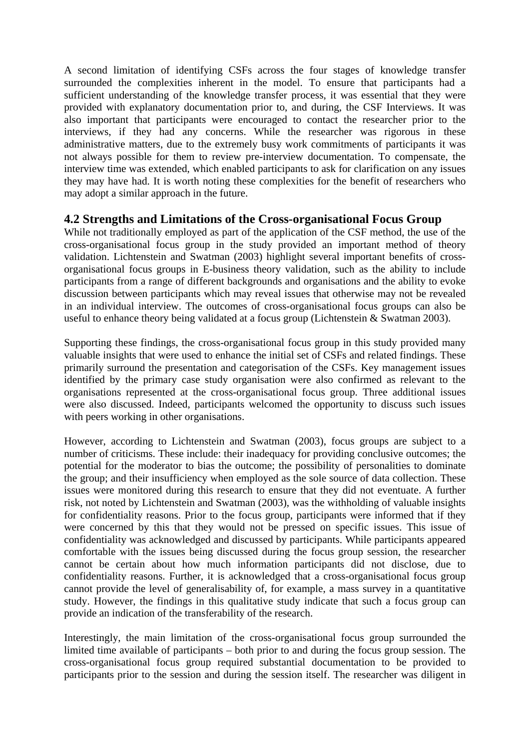A second limitation of identifying CSFs across the four stages of knowledge transfer surrounded the complexities inherent in the model. To ensure that participants had a sufficient understanding of the knowledge transfer process, it was essential that they were provided with explanatory documentation prior to, and during, the CSF Interviews. It was also important that participants were encouraged to contact the researcher prior to the interviews, if they had any concerns. While the researcher was rigorous in these administrative matters, due to the extremely busy work commitments of participants it was not always possible for them to review pre-interview documentation. To compensate, the interview time was extended, which enabled participants to ask for clarification on any issues they may have had. It is worth noting these complexities for the benefit of researchers who may adopt a similar approach in the future.

## **4.2 Strengths and Limitations of the Cross-organisational Focus Group**

While not traditionally employed as part of the application of the CSF method, the use of the cross-organisational focus group in the study provided an important method of theory validation. Lichtenstein and Swatman (2003) highlight several important benefits of crossorganisational focus groups in E-business theory validation, such as the ability to include participants from a range of different backgrounds and organisations and the ability to evoke discussion between participants which may reveal issues that otherwise may not be revealed in an individual interview. The outcomes of cross-organisational focus groups can also be useful to enhance theory being validated at a focus group (Lichtenstein & Swatman 2003).

Supporting these findings, the cross-organisational focus group in this study provided many valuable insights that were used to enhance the initial set of CSFs and related findings. These primarily surround the presentation and categorisation of the CSFs. Key management issues identified by the primary case study organisation were also confirmed as relevant to the organisations represented at the cross-organisational focus group. Three additional issues were also discussed. Indeed, participants welcomed the opportunity to discuss such issues with peers working in other organisations.

However, according to Lichtenstein and Swatman (2003), focus groups are subject to a number of criticisms. These include: their inadequacy for providing conclusive outcomes; the potential for the moderator to bias the outcome; the possibility of personalities to dominate the group; and their insufficiency when employed as the sole source of data collection. These issues were monitored during this research to ensure that they did not eventuate. A further risk, not noted by Lichtenstein and Swatman (2003), was the withholding of valuable insights for confidentiality reasons. Prior to the focus group, participants were informed that if they were concerned by this that they would not be pressed on specific issues. This issue of confidentiality was acknowledged and discussed by participants. While participants appeared comfortable with the issues being discussed during the focus group session, the researcher cannot be certain about how much information participants did not disclose, due to confidentiality reasons. Further, it is acknowledged that a cross-organisational focus group cannot provide the level of generalisability of, for example, a mass survey in a quantitative study. However, the findings in this qualitative study indicate that such a focus group can provide an indication of the transferability of the research.

Interestingly, the main limitation of the cross-organisational focus group surrounded the limited time available of participants – both prior to and during the focus group session. The cross-organisational focus group required substantial documentation to be provided to participants prior to the session and during the session itself. The researcher was diligent in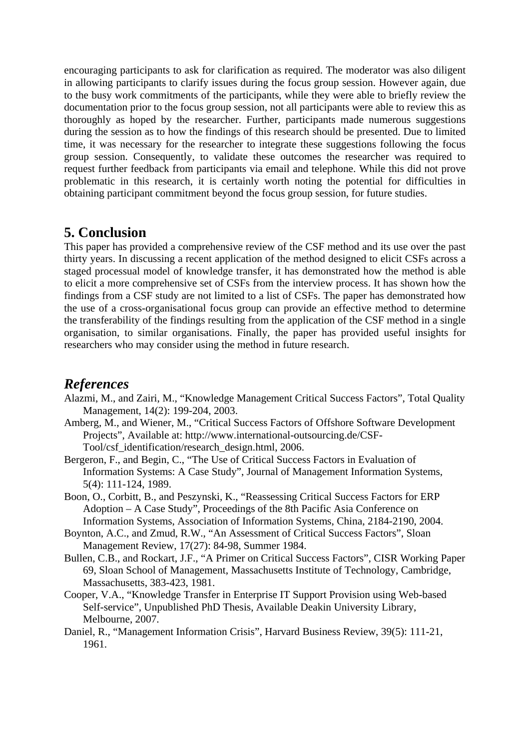encouraging participants to ask for clarification as required. The moderator was also diligent in allowing participants to clarify issues during the focus group session. However again, due to the busy work commitments of the participants, while they were able to briefly review the documentation prior to the focus group session, not all participants were able to review this as thoroughly as hoped by the researcher. Further, participants made numerous suggestions during the session as to how the findings of this research should be presented. Due to limited time, it was necessary for the researcher to integrate these suggestions following the focus group session. Consequently, to validate these outcomes the researcher was required to request further feedback from participants via email and telephone. While this did not prove problematic in this research, it is certainly worth noting the potential for difficulties in obtaining participant commitment beyond the focus group session, for future studies.

## **5. Conclusion**

This paper has provided a comprehensive review of the CSF method and its use over the past thirty years. In discussing a recent application of the method designed to elicit CSFs across a staged processual model of knowledge transfer, it has demonstrated how the method is able to elicit a more comprehensive set of CSFs from the interview process. It has shown how the findings from a CSF study are not limited to a list of CSFs. The paper has demonstrated how the use of a cross-organisational focus group can provide an effective method to determine the transferability of the findings resulting from the application of the CSF method in a single organisation, to similar organisations. Finally, the paper has provided useful insights for researchers who may consider using the method in future research.

## *References*

- Alazmi, M., and Zairi, M., "Knowledge Management Critical Success Factors", Total Quality Management, 14(2): 199-204, 2003.
- Amberg, M., and Wiener, M., "Critical Success Factors of Offshore Software Development Projects", Available at: http://www.international-outsourcing.de/CSF-Tool/csf\_identification/research\_design.html, 2006.
- Bergeron, F., and Begin, C., "The Use of Critical Success Factors in Evaluation of Information Systems: A Case Study", Journal of Management Information Systems, 5(4): 111-124, 1989.
- Boon, O., Corbitt, B., and Peszynski, K., "Reassessing Critical Success Factors for ERP Adoption – A Case Study", Proceedings of the 8th Pacific Asia Conference on Information Systems, Association of Information Systems, China, 2184-2190, 2004.
- Boynton, A.C., and Zmud, R.W., "An Assessment of Critical Success Factors", Sloan Management Review, 17(27): 84-98, Summer 1984.
- Bullen, C.B., and Rockart, J.F., "A Primer on Critical Success Factors", CISR Working Paper 69, Sloan School of Management, Massachusetts Institute of Technology, Cambridge, Massachusetts, 383-423, 1981.
- Cooper, V.A., "Knowledge Transfer in Enterprise IT Support Provision using Web-based Self-service", Unpublished PhD Thesis, Available Deakin University Library, Melbourne, 2007.
- Daniel, R., "Management Information Crisis", Harvard Business Review, 39(5): 111-21, 1961.